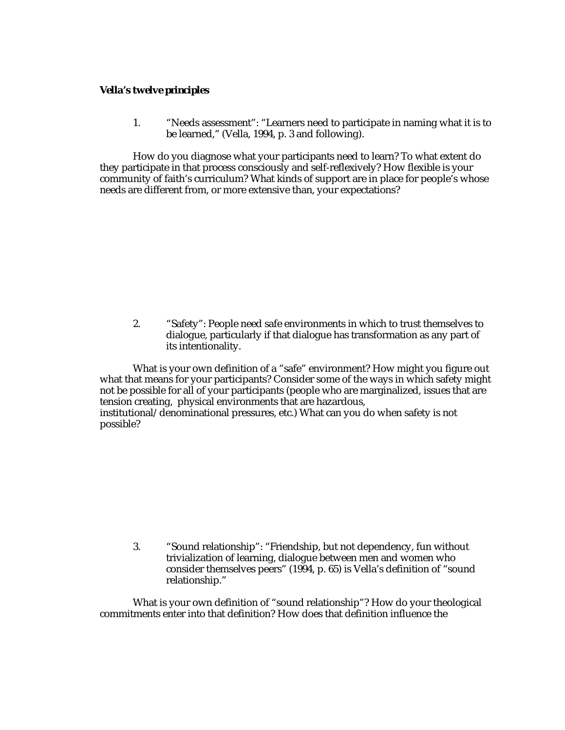## *Vella's twelve principles*

1. "Needs assessment": "Learners need to participate in naming what it is to be learned," (Vella, 1994, p. 3 and following).

How do you diagnose what your participants need to learn? To what extent do they participate in that process consciously and self-reflexively? How flexible is your community of faith's curriculum? What kinds of support are in place for people's whose needs are different from, or more extensive than, your expectations?

2. "Safety": People need safe environments in which to trust themselves to dialogue, particularly if that dialogue has transformation as any part of its intentionality.

What is your own definition of a "safe" environment? How might you figure out what that means for your participants? Consider some of the ways in which safety might not be possible for all of your participants (people who are marginalized, issues that are tension creating, physical environments that are hazardous, institutional/denominational pressures, etc.) What can you do when safety is not possible?

3. "Sound relationship": "Friendship, but not dependency, fun without trivialization of learning, dialogue between men and women who consider themselves peers" (1994, p. 65) is Vella's definition of "sound relationship."

What is your own definition of "sound relationship"? How do your theological commitments enter into that definition? How does that definition influence the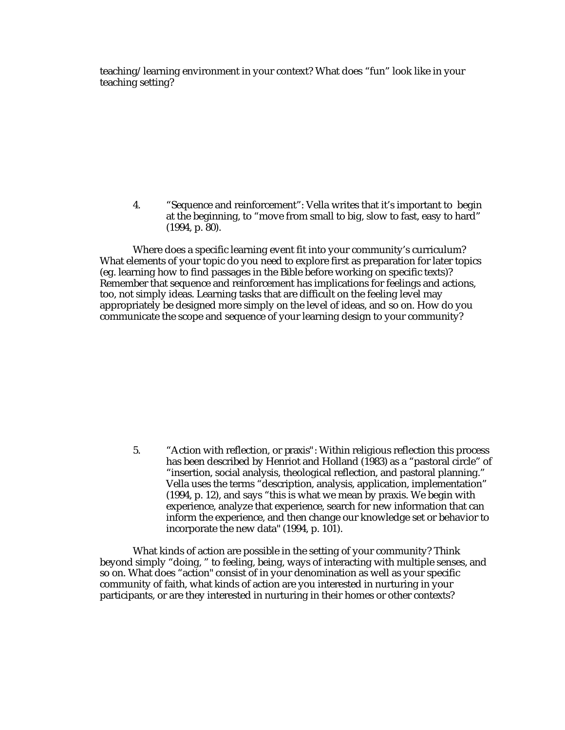teaching/learning environment in your context? What does "fun" look like in your teaching setting?

4. "Sequence and reinforcement": Vella writes that it's important to begin at the beginning, to "move from small to big, slow to fast, easy to hard" (1994, p. 80).

Where does a specific learning event fit into your community's curriculum? What elements of your topic do you need to explore first as preparation for later topics (eg. learning how to find passages in the Bible before working on specific texts)? Remember that sequence and reinforcement has implications for feelings and actions, too, not simply ideas. Learning tasks that are difficult on the feeling level may appropriately be designed more simply on the level of ideas, and so on. How do you communicate the scope and sequence of your learning design to your community?

5. "Action with reflection, or *praxis"*: Within religious reflection this process has been described by Henriot and Holland (1983) as a "pastoral circle" of "insertion, social analysis, theological reflection, and pastoral planning." Vella uses the terms "description, analysis, application, implementation" (1994, p. 12), and says "this is what we mean by praxis. We begin with experience, analyze that experience, search for new information that can inform the experience, and then change our knowledge set or behavior to incorporate the new data" (1994, p. 101).

What kinds of action are possible in the setting of your community? Think beyond simply "doing, " to feeling, being, ways of interacting with multiple senses, and so on. What does "action" consist of in your denomination as well as your specific community of faith, what kinds of action are you interested in nurturing in your participants, or are they interested in nurturing in their homes or other contexts?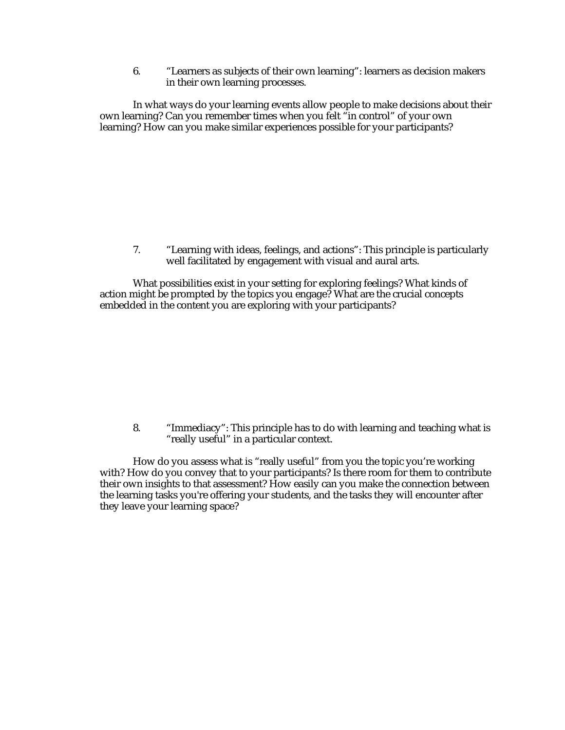6. "Learners as subjects of their own learning": learners as decision makers in their own learning processes.

In what ways do your learning events allow people to make decisions about their own learning? Can you remember times when you felt "in control" of your own learning? How can you make similar experiences possible for your participants?

7. "Learning with ideas, feelings, and actions": This principle is particularly well facilitated by engagement with visual and aural arts.

What possibilities exist in your setting for exploring feelings? What kinds of action might be prompted by the topics you engage? What are the crucial concepts embedded in the content you are exploring with your participants?

8. "Immediacy": This principle has to do with learning and teaching what is "really useful" in a particular context.

How do you assess what is "really useful" from you the topic you're working with? How do you convey that to your participants? Is there room for them to contribute their own insights to that assessment? How easily can you make the connection between the learning tasks you're offering your students, and the tasks they will encounter after they leave your learning space?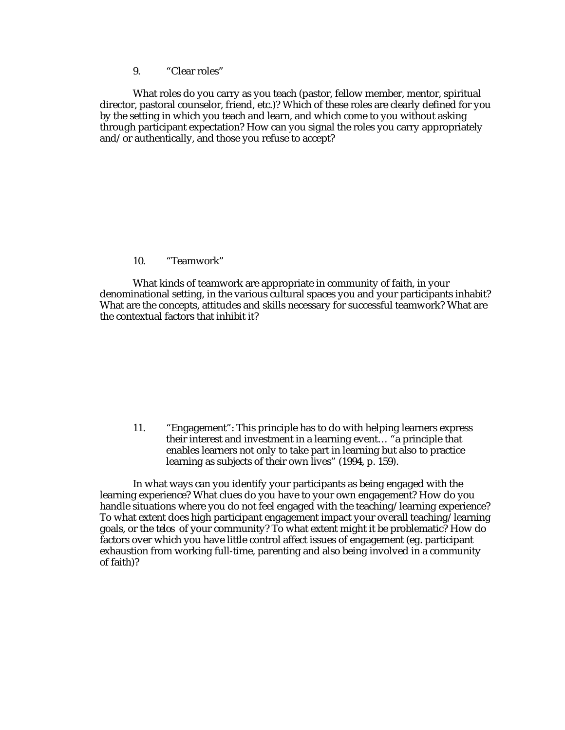9. "Clear roles"

What roles do you carry as you teach (pastor, fellow member, mentor, spiritual director, pastoral counselor, friend, etc.)? Which of these roles are clearly defined for you by the setting in which you teach and learn, and which come to you without asking through participant expectation? How can you signal the roles you carry appropriately and/or authentically, and those you refuse to accept?

## 10. "Teamwork"

What kinds of teamwork are appropriate in community of faith, in your denominational setting, in the various cultural spaces you and your participants inhabit? What are the concepts, attitudes and skills necessary for successful teamwork? What are the contextual factors that inhibit it?

11. "Engagement": This principle has to do with helping learners express their interest and investment in a learning event… "a principle that enables learners not only to take part in learning but also to practice learning as subjects of their own lives" (1994, p. 159).

In what ways can you identify your participants as being engaged with the learning experience? What clues do you have to your own engagement? How do you handle situations where you do not feel engaged with the teaching/learning experience? To what extent does high participant engagement impact your overall teaching/learning goals, or the *telos* of your community? To what extent might it be problematic? How do factors over which you have little control affect issues of engagement (eg. participant exhaustion from working full-time, parenting and also being involved in a community of faith)?